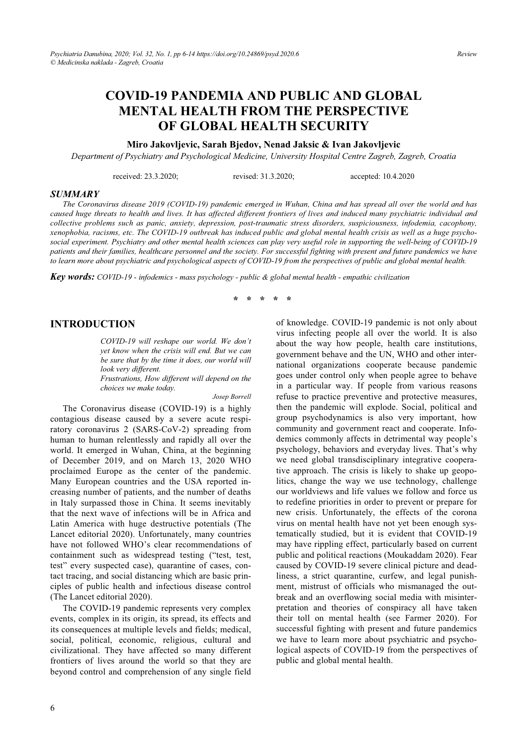# **COVID-19 PANDEMIA AND PUBLIC AND GLOBAL MENTAL HEALTH FROM THE PERSPECTIVE OF GLOBAL HEALTH SECURITY**

#### **Miro Jakovljevic, Sarah Bjedov, Nenad Jaksic & Ivan Jakovljevic**

*Department of Psychiatry and Psychological Medicine, University Hospital Centre Zagreb, Zagreb, Croatia* 

received: 23.3.2020; revised: 31.3.2020; accepted: 10.4.2020

#### *SUMMARY*

*The Coronavirus disease 2019 (COVID-19) pandemic emerged in Wuhan, China and has spread all over the world and has caused huge threats to health and lives. It has affected different frontiers of lives and induced many psychiatric individual and collective problems such as panic, anxiety, depression, post-traumatic stress disorders, suspiciousness, infodemia, cacophony, xenophobia, racisms, etc. The COVID-19 outbreak has induced public and global mental health crisis as well as a huge psychosocial experiment. Psychiatry and other mental health sciences can play very useful role in supporting the well-being of COVID-19 patients and their families, healthcare personnel and the society. For successful fighting with present and future pandemics we have to learn more about psychiatric and psychological aspects of COVID-19 from the perspectives of public and global mental health.*

*Key words: COVID-19 - infodemics - mass psychology - public & global mental health - empathic civilization* 

**\* \* \* \* \*** 

#### **INTRODUCTION**

*COVID-19 will reshape our world. We don't yet know when the crisis will end. But we can be sure that by the time it does, our world will look very different. Frustrations, How different will depend on the choices we make today.* 

*Josep Borrell* 

The Coronavirus disease (COVID-19) is a highly contagious disease caused by a severe acute respiratory coronavirus 2 (SARS-CoV-2) spreading from human to human relentlessly and rapidly all over the world. It emerged in Wuhan, China, at the beginning of December 2019, and on March 13, 2020 WHO proclaimed Europe as the center of the pandemic. Many European countries and the USA reported increasing number of patients, and the number of deaths in Italy surpassed those in China. It seems inevitably that the next wave of infections will be in Africa and Latin America with huge destructive potentials (The Lancet editorial 2020). Unfortunately, many countries have not followed WHO's clear recommendations of containment such as widespread testing ("test, test, test" every suspected case), quarantine of cases, contact tracing, and social distancing which are basic principles of public health and infectious disease control (The Lancet editorial 2020).

The COVID-19 pandemic represents very complex events, complex in its origin, its spread, its effects and its consequences at multiple levels and fields; medical, social, political, economic, religious, cultural and civilizational. They have affected so many different frontiers of lives around the world so that they are beyond control and comprehension of any single field

of knowledge. COVID-19 pandemic is not only about virus infecting people all over the world. It is also about the way how people, health care institutions, government behave and the UN, WHO and other international organizations cooperate because pandemic goes under control only when people agree to behave in a particular way. If people from various reasons refuse to practice preventive and protective measures, then the pandemic will explode. Social, political and group psychodynamics is also very important, how community and government react and cooperate. Infodemics commonly affects in detrimental way people's psychology, behaviors and everyday lives. That's why we need global transdisciplinary integrative cooperative approach. The crisis is likely to shake up geopolitics, change the way we use technology, challenge our worldviews and life values we follow and force us to redefine priorities in order to prevent or prepare for new crisis. Unfortunately, the effects of the corona virus on mental health have not yet been enough systematically studied, but it is evident that COVID-19 may have rippling effect, particularly based on current public and political reactions (Moukaddam 2020). Fear caused by COVID-19 severe clinical picture and deadliness, a strict quarantine, curfew, and legal punishment, mistrust of officials who mismanaged the outbreak and an overflowing social media with misinterpretation and theories of conspiracy all have taken their toll on mental health (see Farmer 2020). For successful fighting with present and future pandemics we have to learn more about psychiatric and psychological aspects of COVID-19 from the perspectives of public and global mental health.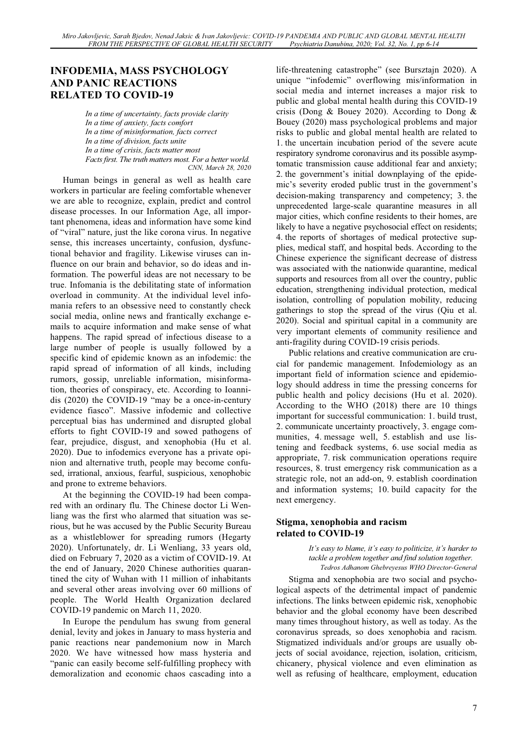# **INFODEMIA, MASS PSYCHOLOGY AND PANIC REACTIONS RELATED TO COVID-19**

*In a time of uncertainty, facts provide clarity In a time of anxiety, facts comfort In a time of misinformation, facts correct In a time of division, facts unite In a time of crisis, facts matter most Facts first. The truth matters most. For a better world. CNN, March 28, 2020*

Human beings in general as well as health care workers in particular are feeling comfortable whenever we are able to recognize, explain, predict and control disease processes. In our Information Age, all important phenomena, ideas and information have some kind of "viral" nature, just the like corona virus. In negative sense, this increases uncertainty, confusion, dysfunctional behavior and fragility. Likewise viruses can influence on our brain and behavior, so do ideas and information. The powerful ideas are not necessary to be true. Infomania is the debilitating state of information overload in community. At the individual level infomania refers to an obsessive need to constantly check social media, online news and frantically exchange emails to acquire information and make sense of what happens. The rapid spread of infectious disease to a large number of people is usually followed by a specific kind of epidemic known as an infodemic: the rapid spread of information of all kinds, including rumors, gossip, unreliable information, misinformation, theories of conspiracy, etc. According to Ioannidis (2020) the COVID-19 "may be a once-in-century evidence fiasco". Massive infodemic and collective perceptual bias has undermined and disrupted global efforts to fight COVID-19 and sowed pathogens of fear, prejudice, disgust, and xenophobia (Hu et al. 2020). Due to infodemics everyone has a private opinion and alternative truth, people may become confused, irrational, anxious, fearful, suspicious, xenophobic and prone to extreme behaviors.

At the beginning the COVID-19 had been compared with an ordinary flu. The Chinese doctor Li Wenliang was the first who alarmed that situation was serious, but he was accused by the Public Security Bureau as a whistleblower for spreading rumors (Hegarty 2020). Unfortunately, dr. Li Wenliang, 33 years old, died on February 7, 2020 as a victim of COVID-19. At the end of January, 2020 Chinese authorities quarantined the city of Wuhan with 11 million of inhabitants and several other areas involving over 60 millions of people. The World Health Organization declared COVID-19 pandemic on March 11, 2020.

In Europe the pendulum has swung from general denial, levity and jokes in January to mass hysteria and panic reactions near pandemonium now in March 2020. We have witnessed how mass hysteria and "panic can easily become self-fulfilling prophecy with demoralization and economic chaos cascading into a life-threatening catastrophe" (see Bursztajn 2020). A unique "infodemic" overflowing mis/information in social media and internet increases a major risk to public and global mental health during this COVID-19 crisis (Dong & Bouey 2020). According to Dong & Bouey (2020) mass psychological problems and major risks to public and global mental health are related to 1. the uncertain incubation period of the severe acute respiratory syndrome coronavirus and its possible asymptomatic transmission cause additional fear and anxiety; 2. the government's initial downplaying of the epidemic's severity eroded public trust in the government's decision-making transparency and competency; 3. the unprecedented large-scale quarantine measures in all major cities, which confine residents to their homes, are likely to have a negative psychosocial effect on residents; 4. the reports of shortages of medical protective supplies, medical staff, and hospital beds. According to the Chinese experience the significant decrease of distress was associated with the nationwide quarantine, medical supports and resources from all over the country, public education, strengthening individual protection, medical isolation, controlling of population mobility, reducing gatherings to stop the spread of the virus (Qiu et al. 2020). Social and spiritual capital in a community are very important elements of community resilience and anti-fragility during COVID-19 crisis periods.

Public relations and creative communication are crucial for pandemic management. Infodemiology as an important field of information science and epidemiology should address in time the pressing concerns for public health and policy decisions (Hu et al. 2020). According to the WHO (2018) there are 10 things important for successful communication: 1. build trust, 2. communicate uncertainty proactively, 3. engage communities, 4. message well, 5. establish and use listening and feedback systems, 6. use social media as appropriate, 7. risk communication operations require resources, 8. trust emergency risk communication as a strategic role, not an add-on, 9. establish coordination and information systems; 10. build capacity for the next emergency.

#### **Stigma, xenophobia and racism related to COVID-19**

*It's easy to blame, it's easy to politicize, it's harder to tackle a problem together and find solution together. Tedros Adhanom Ghebreyesus WHO Director-General* 

Stigma and xenophobia are two social and psychological aspects of the detrimental impact of pandemic infections. The links between epidemic risk, xenophobic behavior and the global economy have been described many times throughout history, as well as today. As the coronavirus spreads, so does xenophobia and racism. Stigmatized individuals and/or groups are usually objects of social avoidance, rejection, isolation, criticism, chicanery, physical violence and even elimination as well as refusing of healthcare, employment, education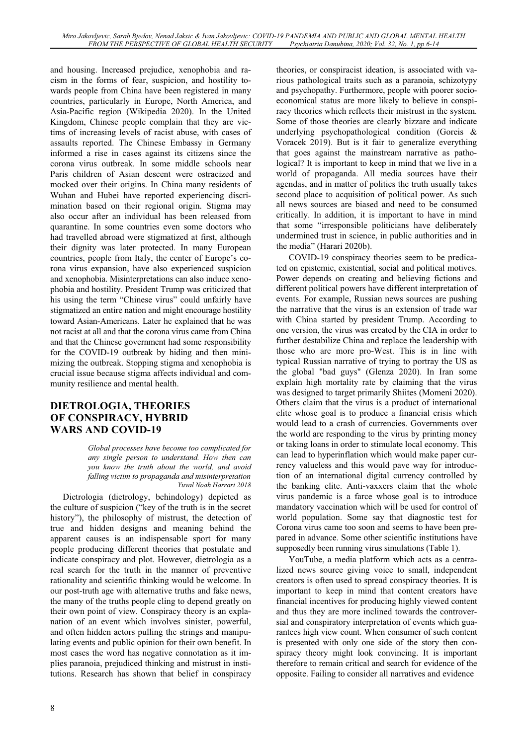and housing. Increased prejudice, xenophobia and racism in the forms of fear, suspicion, and hostility towards people from China have been registered in many countries, particularly in Europe, North America, and Asia-Pacific region (Wikipedia 2020). In the United Kingdom, Chinese people complain that they are victims of increasing levels of racist abuse, with cases of assaults reported. The Chinese Embassy in Germany informed a rise in cases against its citizens since the corona virus outbreak. In some middle schools near Paris children of Asian descent were ostracized and mocked over their origins. In China many residents of Wuhan and Hubei have reported experiencing discrimination based on their regional origin. Stigma may also occur after an individual has been released from quarantine. In some countries even some doctors who had travelled abroad were stigmatized at first, although their dignity was later protected. In many European countries, people from Italy, the center of Europe's corona virus expansion, have also experienced suspicion and xenophobia. Misinterpretations can also induce xenophobia and hostility. President Trump was criticized that his using the term "Chinese virus" could unfairly have stigmatized an entire nation and might encourage hostility toward Asian-Americans. Later he explained that he was not racist at all and that the corona virus came from China and that the Chinese government had some responsibility for the COVID-19 outbreak by hiding and then minimizing the outbreak. Stopping stigma and xenophobia is crucial issue because stigma affects individual and community resilience and mental health.

## **DIETROLOGIA, THEORIES OF CONSPIRACY, HYBRID WARS AND COVID-19**

*Global processes have become too complicated for any single person to understand. How then can you know the truth about the world, and avoid falling victim to propaganda and misinterpretation Yuval Noah Harrari 2018* 

Dietrologia (dietrology, behindology) depicted as the culture of suspicion ("key of the truth is in the secret history"), the philosophy of mistrust, the detection of true and hidden designs and meaning behind the apparent causes is an indispensable sport for many people producing different theories that postulate and indicate conspiracy and plot. However, dietrologia as a real search for the truth in the manner of preventive rationality and scientific thinking would be welcome. In our post-truth age with alternative truths and fake news, the many of the truths people cling to depend greatly on their own point of view. Conspiracy theory is an explanation of an event which involves sinister, powerful, and often hidden actors pulling the strings and manipulating events and public opinion for their own benefit. In most cases the word has negative connotation as it implies paranoia, prejudiced thinking and mistrust in institutions. Research has shown that belief in conspiracy theories, or conspiracist ideation, is associated with various pathological traits such as a paranoia, schizotypy and psychopathy. Furthermore, people with poorer socioeconomical status are more likely to believe in conspiracy theories which reflects their mistrust in the system. Some of those theories are clearly bizzare and indicate underlying psychopathological condition (Goreis & Voracek 2019). But is it fair to generalize everything that goes against the mainstream narrative as pathological? It is important to keep in mind that we live in a world of propaganda. All media sources have their agendas, and in matter of politics the truth usually takes second place to acquisition of political power. As such all news sources are biased and need to be consumed critically. In addition, it is important to have in mind that some "irresponsible politicians have deliberately undermined trust in science, in public authorities and in the media" (Harari 2020b).

COVID-19 conspiracy theories seem to be predicated on epistemic, existential, social and political motives. Power depends on creating and believing fictions and different political powers have different interpretation of events. For example, Russian news sources are pushing the narrative that the virus is an extension of trade war with China started by president Trump. According to one version, the virus was created by the CIA in order to further destabilize China and replace the leadership with those who are more pro-West. This is in line with typical Russian narrative of trying to portray the US as the global "bad guys" (Glenza 2020). In Iran some explain high mortality rate by claiming that the virus was designed to target primarily Shiites (Momeni 2020). Others claim that the virus is a product of international elite whose goal is to produce a financial crisis which would lead to a crash of currencies. Governments over the world are responding to the virus by printing money or taking loans in order to stimulate local economy. This can lead to hyperinflation which would make paper currency valueless and this would pave way for introduction of an international digital currency controlled by the banking elite. Anti-vaxxers claim that the whole virus pandemic is a farce whose goal is to introduce mandatory vaccination which will be used for control of world population. Some say that diagnostic test for Corona virus came too soon and seems to have been prepared in advance. Some other scientific institutions have supposedly been running virus simulations (Table 1).

YouTube, a media platform which acts as a centralized news source giving voice to small, independent creators is often used to spread conspiracy theories. It is important to keep in mind that content creators have financial incentives for producing highly viewed content and thus they are more inclined towards the controversial and conspiratory interpretation of events which guarantees high view count. When consumer of such content is presented with only one side of the story then conspiracy theory might look convincing. It is important therefore to remain critical and search for evidence of the opposite. Failing to consider all narratives and evidence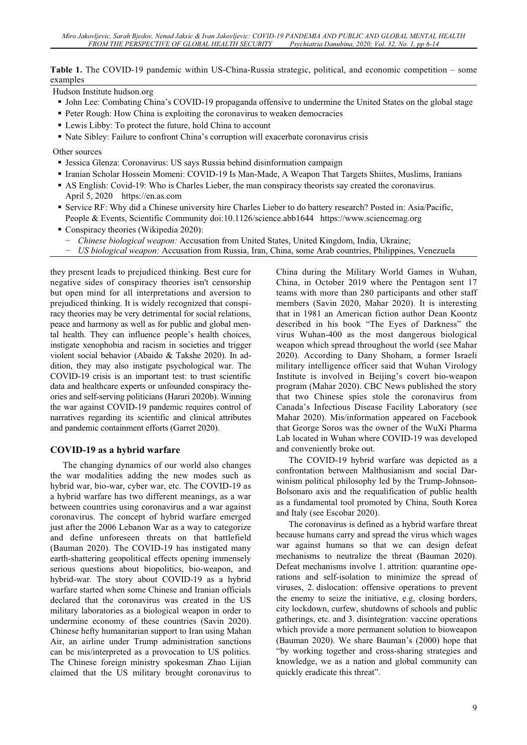**Table 1.** The COVID-19 pandemic within US-China-Russia strategic, political, and economic competition – some examples

Hudson Institute hudson.org

- John Lee: Combating China's COVID-19 propaganda offensive to undermine the United States on the global stage
- Peter Rough: How China is exploiting the coronavirus to weaken democracies
- Lewis Libby: To protect the future, hold China to account
- Nate Sibley: Failure to confront China's corruption will exacerbate coronavirus crisis

Other sources

- Jessica Glenza: Coronavirus: US says Russia behind disinformation campaign
- Iranian Scholar Hossein Momeni: COVID-19 Is Man-Made, A Weapon That Targets Shiites, Muslims, Iranians
- AS English: Covid-19: Who is Charles Lieber, the man conspiracy theorists say created the coronavirus. April 5, 2020 https://en.as.com
- Service RF: Why did a Chinese university hire Charles Lieber to do battery research? Posted in: Asia/Pacific, People & Events, Scientific Community doi:10.1126/science.abb1644 https://www.sciencemag.org
- Conspiracy theories (Wikipedia 2020):
	- <sup>-</sup> *Chinese biological weapon:* Accusation from United States, United Kingdom, India, Ukraine;<br><sup>-</sup> *US biological weapon:* Accusation from Russia Jran, China, some Arab countries, Philippines
	- í *US biological weapon:* Accusation from Russia, Iran, China, some Arab countries, Philippines, Venezuela

they present leads to prejudiced thinking. Best cure for negative sides of conspiracy theories isn't censorship but open mind for all interpretations and aversion to prejudiced thinking. It is widely recognized that conspiracy theories may be very detrimental for social relations, peace and harmony as well as for public and global mental health. They can influence people's health choices, instigate xenophobia and racism in societies and trigger violent social behavior (Abaido & Takshe 2020). In addition, they may also instigate psychological war. The COVID-19 crisis is an important test: to trust scientific data and healthcare experts or unfounded conspiracy theories and self-serving politicians (Harari 2020b). Winning the war against COVID-19 pandemic requires control of narratives regarding its scientific and clinical attributes and pandemic containment efforts (Garret 2020).

#### **COVID-19 as a hybrid warfare**

The changing dynamics of our world also changes the war modalities adding the new modes such as hybrid war, bio-war, cyber war, etc. The COVID-19 as a hybrid warfare has two different meanings, as a war between countries using coronavirus and a war against coronavirus. The concept of hybrid warfare emerged just after the 2006 Lebanon War as a way to categorize and define unforeseen threats on that battlefield (Bauman 2020). The COVID-19 has instigated many earth-shattering geopolitical effects opening immensely serious questions about biopolitics, bio-weapon, and hybrid-war. The story about COVID-19 as a hybrid warfare started when some Chinese and Iranian officials declared that the coronavirus was created in the US military laboratories as a biological weapon in order to undermine economy of these countries (Savin 2020). Chinese hefty humanitarian support to Iran using Mahan Air, an airline under Trump administration sanctions can be mis/interpreted as a provocation to US politics. The Chinese foreign ministry spokesman Zhao Lijian claimed that the US military brought coronavirus to

China during the Military World Games in Wuhan, China, in October 2019 where the Pentagon sent 17 teams with more than 280 participants and other staff members (Savin 2020, Mahar 2020). It is interesting that in 1981 an American fiction author Dean Koontz described in his book "The Eyes of Darkness" the virus Wuhan-400 as the most dangerous biological weapon which spread throughout the world (see Mahar 2020). According to Dany Shoham, a former Israeli military intelligence officer said that Wuhan Virology Institute is involved in Beijing's covert bio-weapon program (Mahar 2020). CBC News published the story that two Chinese spies stole the coronavirus from Canada's Infectious Disease Facility Laboratory (see Mahar 2020). Mis/information appeared on Facebook that George Soros was the owner of the WuXi Pharma Lab located in Wuhan where COVID-19 was developed and conveniently broke out.

The COVID-19 hybrid warfare was depicted as a confrontation between Malthusianism and social Darwinism political philosophy led by the Trump-Johnson-Bolsonaro axis and the requalification of public health as a fundamental tool promoted by China, South Korea and Italy (see Escobar 2020).

The coronavirus is defined as a hybrid warfare threat because humans carry and spread the virus which wages war against humans so that we can design defeat mechanisms to neutralize the threat (Bauman 2020). Defeat mechanisms involve 1. attrition: quarantine operations and self-isolation to minimize the spread of viruses, 2. dislocation: offensive operations to prevent the enemy to seize the initiative, e.g, closing borders, city lockdown, curfew, shutdowns of schools and public gatherings, etc. and 3. disintegration: vaccine operations which provide a more permanent solution to bioweapon (Bauman 2020). We share Bauman's (2000) hope that "by working together and cross-sharing strategies and knowledge, we as a nation and global community can quickly eradicate this threat".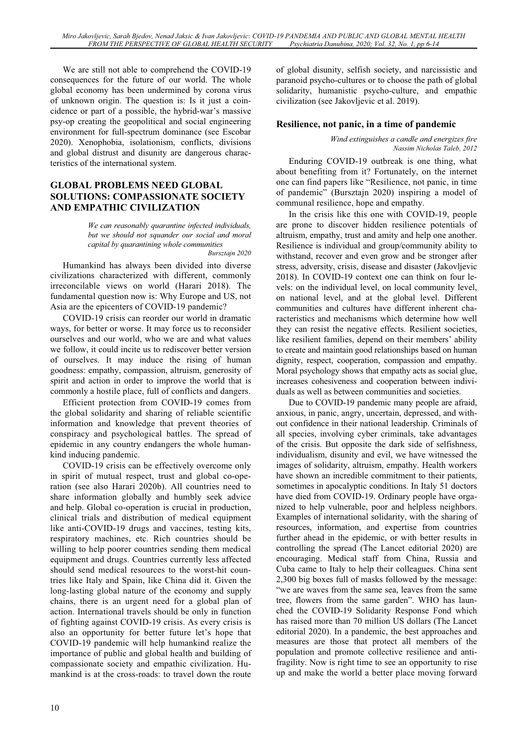We are still not able to comprehend the COVID-19 consequences for the future of our world. The whole global economy has been undermined by corona virus of unknown origin. The question is: Is it just a coincidence or part of a possible, the hybrid-war's massive psy-op creating the geopolitical and social engineering environment for full-spectrum dominance (see Escobar 2020). Xenophobia, isolationism, conflicts, divisions and global distrust and disunity are dangerous characteristics of the international system.

#### **GLOBAL PROBLEMS NEED GLOBAL SOLUTIONS: COMPASSIONATE SOCIETY AND EMPATHIC CIVILIZATION**

*We can reasonably quarantine infected individuals, but we should not squander our social and moral capital by quarantining whole communities Bursztajn 2020* 

Humankind has always been divided into diverse civilizations characterized with different, commonly irreconcilable views on world (Harari 2018). The fundamental question now is: Why Europe and US, not Asia are the epicenters of COVID-19 pandemic?

COVID-19 crisis can reorder our world in dramatic ways, for better or worse. It may force us to reconsider ourselves and our world, who we are and what values we follow, it could incite us to rediscover better version of ourselves. It may induce the rising of human goodness: empathy, compassion, altruism, generosity of spirit and action in order to improve the world that is commonly a hostile place, full of conflicts and dangers.

Efficient protection from COVID-19 comes from the global solidarity and sharing of reliable scientific information and knowledge that prevent theories of conspiracy and psychological battles. The spread of epidemic in any country endangers the whole humankind inducing pandemic.

COVID-19 crisis can be effectively overcome only in spirit of mutual respect, trust and global co-operation (see also Harari 2020b). All countries need to share information globally and humbly seek advice and help. Global co-operation is crucial in production, clinical trials and distribution of medical equipment like anti-COVID-19 drugs and vaccines, testing kits, respiratory machines, etc. Rich countries should be willing to help poorer countries sending them medical equipment and drugs. Countries currently less affected should send medical resources to the worst-hit countries like Italy and Spain, like China did it. Given the long-lasting global nature of the economy and supply chains, there is an urgent need for a global plan of action. International travels should be only in function of fighting against COVID-19 crisis. As every crisis is also an opportunity for better future let's hope that COVID-19 pandemic will help humankind realize the importance of public and global health and building of compassionate society and empathic civilization. Humankind is at the cross-roads: to travel down the route

of global disunity, selfish society, and narcissistic and paranoid psycho-cultures or to choose the path of global solidarity, humanistic psycho-culture, and empathic civilization (see Jakovljevic et al. 2019).

### **Resilience, not panic, in a time of pandemic**

*Wind extinguishes a candle and energizes fire Nassim Nicholas Taleb, 2012* 

Enduring COVID-19 outbreak is one thing, what about benefiting from it? Fortunately, on the internet one can find papers like "Resilience, not panic, in time of pandemic" (Bursztajn 2020) inspiring a model of communal resilience, hope and empathy.

In the crisis like this one with COVID-19, people are prone to discover hidden resilience potentials of altruism, empathy, trust and amity and help one another. Resilience is individual and group/community ability to withstand, recover and even grow and be stronger after stress, adversity, crisis, disease and disaster (Jakovljevic 2018). In COVID-19 context one can think on four levels: on the individual level, on local community level, on national level, and at the global level. Different communities and cultures have different inherent characteristics and mechanisms which determine how well they can resist the negative effects. Resilient societies, like resilient families, depend on their members' ability to create and maintain good relationships based on human dignity, respect, cooperation, compassion and empathy. Moral psychology shows that empathy acts as social glue, increases cohesiveness and cooperation between individuals as well as between communities and societies.

Due to COVID-19 pandemic many people are afraid, anxious, in panic, angry, uncertain, depressed, and without confidence in their national leadership. Criminals of all species, involving cyber criminals, take advantages of the crisis. But opposite the dark side of selfishness, individualism, disunity and evil, we have witnessed the images of solidarity, altruism, empathy. Health workers have shown an incredible commitment to their patients, sometimes in apocalyptic conditions. In Italy 51 doctors have died from COVID-19. Ordinary people have organized to help vulnerable, poor and helpless neighbors. Examples of international solidarity, with the sharing of resources, information, and expertise from countries further ahead in the epidemic, or with better results in controlling the spread (The Lancet editorial 2020) are encouraging. Medical staff from China, Russia and Cuba came to Italy to help their colleagues. China sent 2,300 big boxes full of masks followed by the message: "we are waves from the same sea, leaves from the same tree, flowers from the same garden". WHO has launched the COVID-19 Solidarity Response Fond which has raised more than 70 million US dollars (The Lancet editorial 2020). In a pandemic, the best approaches and measures are those that protect all members of the population and promote collective resilience and antifragility. Now is right time to see an opportunity to rise up and make the world a better place moving forward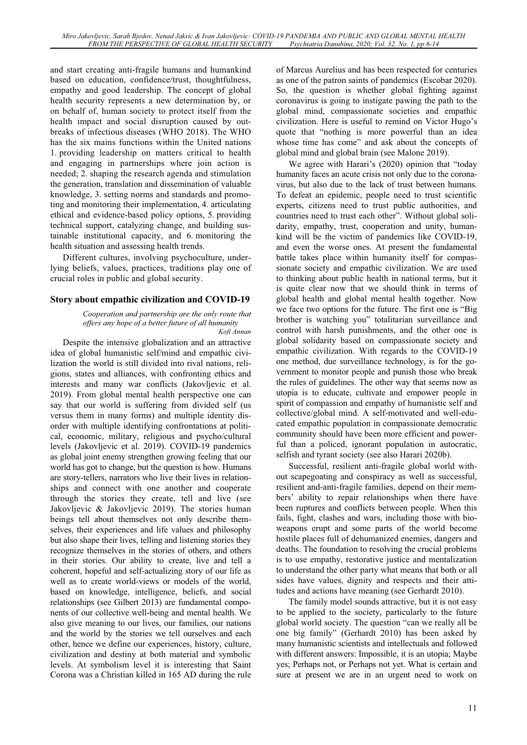and start creating anti-fragile humans and humankind based on education, confidence/trust, thoughtfulness, empathy and good leadership. The concept of global health security represents a new determination by, or on behalf of, human society to protect itself from the health impact and social disruption caused by outbreaks of infectious diseases (WHO 2018). The WHO has the six mains functions within the United nations 1. providing leadership on matters critical to health and engaging in partnerships where join action is needed; 2. shaping the research agenda and stimulation the generation, translation and dissemination of valuable knowledge, 3. setting norms and standards and promoting and monitoring their implementation, 4. articulating ethical and evidence-based policy options, 5. providing technical support, catalyzing change, and building sustainable institutional capacity, and 6. monitoring the health situation and assessing health trends.

Different cultures, involving psychoculture, underlying beliefs, values, practices, traditions play one of crucial roles in public and global security.

#### **Story about empathic civilization and COVID-19**

*Cooperation and partnership are the only route that offers any hope of a better future of all humanity Kofi Annan* 

Despite the intensive globalization and an attractive idea of global humanistic self/mind and empathic civilization the world is still divided into rival nations, religions, states and alliances, with confronting ethics and interests and many war conflicts (Jakovljevic et al. 2019). From global mental health perspective one can say that our world is suffering from divided self (us versus them in many forms) and multiple identity disorder with multiple identifying confrontations at political, economic, military, religious and psycho/cultural levels (Jakovljevic et al. 2019). COVID-19 pandemics as global joint enemy strengthen growing feeling that our world has got to change, but the question is how. Humans are story-tellers, narrators who live their lives in relationships and connect with one another and cooperate through the stories they create, tell and live (see Jakovljevic & Jakovljevic 2019). The stories human beings tell about themselves not only describe themselves, their experiences and life values and philosophy but also shape their lives, telling and listening stories they recognize themselves in the stories of others, and others in their stories. Our ability to create, live and tell a coherent, hopeful and self-actualizing story of our life as well as to create world-views or models of the world, based on knowledge, intelligence, beliefs, and social relationships (see Gilbert 2013) are fundamental components of our collective well-being and mental health. We also give meaning to our lives, our families, our nations and the world by the stories we tell ourselves and each other, hence we define our experiences, history, culture, civilization and destiny at both material and symbolic levels. At symbolism level it is interesting that Saint Corona was a Christian killed in 165 AD during the rule

of Marcus Aurelius and has been respected for centuries as one of the patron saints of pandemics (Escobar 2020). So, the question is whether global fighting against coronavirus is going to instigate pawing the path to the global mind, compassionate societies and empathic civilization. Here is useful to remind on Victor Hugo's quote that "nothing is more powerful than an idea whose time has come" and ask about the concepts of global mind and global brain (see Malone 2019).

We agree with Harari's (2020) opinion that "today humanity faces an acute crisis not only due to the coronavirus, but also due to the lack of trust between humans. To defeat an epidemic, people need to trust scientific experts, citizens need to trust public authorities, and countries need to trust each other". Without global solidarity, empathy, trust, cooperation and unity, humankind will be the victim of pandemics like COVID-19, and even the worse ones. At present the fundamental battle takes place within humanity itself for compassionate society and empathic civilization. We are used to thinking about public health in national terms, but it is quite clear now that we should think in terms of global health and global mental health together. Now we face two options for the future. The first one is "Big brother is watching you" totalitarian surveillance and control with harsh punishments, and the other one is global solidarity based on compassionate society and empathic civilization. With regards to the COVID-19 one method, due surveillance technology, is for the government to monitor people and punish those who break the rules of guidelines. The other way that seems now as utopia is to educate, cultivate and empower people in spirit of compassion and empathy of humanistic self and collective/global mind. A self-motivated and well-educated empathic population in compassionate democratic community should have been more efficient and powerful than a policed, ignorant population in autocratic, selfish and tyrant society (see also Harari 2020b).

Successful, resilient anti-fragile global world without scapegoating and conspiracy as well as successful, resilient and-anti-fragile families, depend on their members' ability to repair relationships when there have been ruptures and conflicts between people. When this fails, fight, clashes and wars, including those with bioweapons erupt and some parts of the world become hostile places full of dehumanized enemies, dangers and deaths. The foundation to resolving the crucial problems is to use empathy, restorative justice and mentalization to understand the other party what means that both or all sides have values, dignity and respects and their attitudes and actions have meaning (see Gerhardt 2010).

The family model sounds attractive, but it is not easy to be applied to the society, particularly to the future global world society. The question "can we really all be one big family" (Gerhardt 2010) has been asked by many humanistic scientists and intellectuals and followed with different answers: Impossible, it is an utopia; Maybe yes; Perhaps not, or Perhaps not yet. What is certain and sure at present we are in an urgent need to work on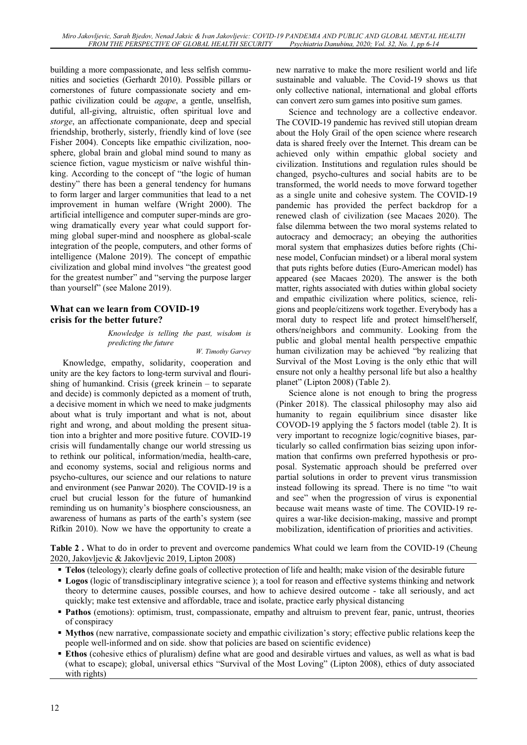building a more compassionate, and less selfish communities and societies (Gerhardt 2010). Possible pillars or cornerstones of future compassionate society and empathic civilization could be *agape*, a gentle, unselfish, dutiful, all-giving, altruistic, often spiritual love and *storge*, an affectionate companionate, deep and special friendship, brotherly, sisterly, friendly kind of love (see Fisher 2004). Concepts like empathic civilization, noosphere, global brain and global mind sound to many as science fiction, vague mysticism or naïve wishful thinking. According to the concept of "the logic of human destiny" there has been a general tendency for humans to form larger and larger communities that lead to a net improvement in human welfare (Wright 2000). The artificial intelligence and computer super-minds are growing dramatically every year what could support forming global super-mind and noosphere as global-scale integration of the people, computers, and other forms of intelligence (Malone 2019). The concept of empathic civilization and global mind involves "the greatest good for the greatest number" and "serving the purpose larger than yourself" (see Malone 2019).

### **What can we learn from COVID-19 crisis for the better future?**

*Knowledge is telling the past, wisdom is predicting the future* 

*W. Timothy Garvey*

Knowledge, empathy, solidarity, cooperation and unity are the key factors to long-term survival and flourishing of humankind. Crisis (greek krinein – to separate and decide) is commonly depicted as a moment of truth, a decisive moment in which we need to make judgments about what is truly important and what is not, about right and wrong, and about molding the present situation into a brighter and more positive future. COVID-19 crisis will fundamentally change our world stressing us to rethink our political, information/media, health-care, and economy systems, social and religious norms and psycho-cultures, our science and our relations to nature and environment (see Panwar 2020). The COVID-19 is a cruel but crucial lesson for the future of humankind reminding us on humanity's biosphere consciousness, an awareness of humans as parts of the earth's system (see Rifkin 2010). Now we have the opportunity to create a new narrative to make the more resilient world and life sustainable and valuable. The Covid-19 shows us that only collective national, international and global efforts can convert zero sum games into positive sum games.

Science and technology are a collective endeavor. The COVID-19 pandemic has revived still utopian dream about the Holy Grail of the open science where research data is shared freely over the Internet. This dream can be achieved only within empathic global society and civilization. Institutions and regulation rules should be changed, psycho-cultures and social habits are to be transformed, the world needs to move forward together as a single unite and cohesive system. The COVID-19 pandemic has provided the perfect backdrop for a renewed clash of civilization (see Macaes 2020). The false dilemma between the two moral systems related to autocracy and democracy; an obeying the authorities moral system that emphasizes duties before rights (Chinese model, Confucian mindset) or a liberal moral system that puts rights before duties (Euro-American model) has appeared (see Macaes 2020). The answer is the both matter, rights associated with duties within global society and empathic civilization where politics, science, religions and people/citizens work together. Everybody has a moral duty to respect life and protect himself/herself, others/neighbors and community. Looking from the public and global mental health perspective empathic human civilization may be achieved "by realizing that Survival of the Most Loving is the only ethic that will ensure not only a healthy personal life but also a healthy planet" (Lipton 2008) (Table 2).

Science alone is not enough to bring the progress (Pinker 2018). The classical philosophy may also aid humanity to regain equilibrium since disaster like COVOD-19 applying the 5 factors model (table 2). It is very important to recognize logic/cognitive biases, particularly so called confirmation bias seizing upon information that confirms own preferred hypothesis or proposal. Systematic approach should be preferred over partial solutions in order to prevent virus transmission instead following its spread. There is no time "to wait and see" when the progression of virus is exponential because wait means waste of time. The COVID-19 requires a war-like decision-making, massive and prompt mobilization, identification of priorities and activities.

**Table 2.** What to do in order to prevent and overcome pandemics What could we learn from the COVID-19 (Cheung 2020, Jakovljevic & Jakovljevic 2019, Lipton 2008)

- **Telos** (teleology); clearly define goals of collective protection of life and health; make vision of the desirable future
- **Logos** (logic of transdisciplinary integrative science ); a tool for reason and effective systems thinking and network theory to determine causes, possible courses, and how to achieve desired outcome - take all seriously, and act quickly; make test extensive and affordable, trace and isolate, practice early physical distancing
- **Pathos** (emotions): optimism, trust, compassionate, empathy and altruism to prevent fear, panic, untrust, theories of conspiracy
- **Mythos** (new narrative, compassionate society and empathic civilization's story; effective public relations keep the people well-informed and on side. show that policies are based on scientific evidence)
- **Ethos** (cohesive ethics of pluralism) define what are good and desirable virtues and values, as well as what is bad (what to escape); global, universal ethics "Survival of the Most Loving" (Lipton 2008), ethics of duty associated with rights)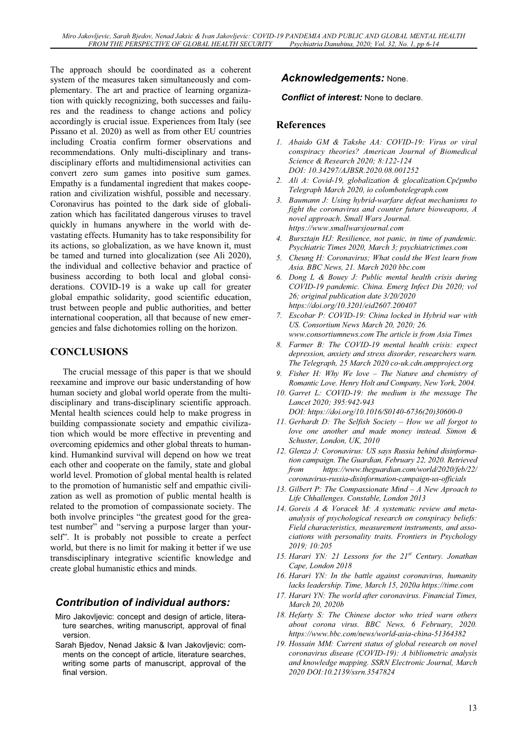The approach should be coordinated as a coherent system of the measures taken simultaneously and complementary. The art and practice of learning organization with quickly recognizing, both successes and failures and the readiness to change actions and policy accordingly is crucial issue. Experiences from Italy (see Pissano et al. 2020) as well as from other EU countries including Croatia confirm former observations and recommendations. Only multi-disciplinary and transdisciplinary efforts and multidimensional activities can convert zero sum games into positive sum games. Empathy is a fundamental ingredient that makes cooperation and civilization wishful, possible and necessary. Coronavirus has pointed to the dark side of globalization which has facilitated dangerous viruses to travel quickly in humans anywhere in the world with devastating effects. Humanity has to take responsibility for its actions, so globalization, as we have known it, must be tamed and turned into glocalization (see Ali 2020), the individual and collective behavior and practice of business according to both local and global considerations. COVID-19 is a wake up call for greater global empathic solidarity, good scientific education, trust between people and public authorities, and better international cooperation, all that because of new emergencies and false dichotomies rolling on the horizon.

# **CONCLUSIONS**

The crucial message of this paper is that we should reexamine and improve our basic understanding of how human society and global world operate from the multidisciplinary and trans-disciplinary scientific approach. Mental health sciences could help to make progress in building compassionate society and empathic civilization which would be more effective in preventing and overcoming epidemics and other global threats to humankind. Humankind survival will depend on how we treat each other and cooperate on the family, state and global world level. Promotion of global mental health is related to the promotion of humanistic self and empathic civilization as well as promotion of public mental health is related to the promotion of compassionate society. The both involve principles "the greatest good for the greatest number" and "serving a purpose larger than yourself". It is probably not possible to create a perfect world, but there is no limit for making it better if we use transdisciplinary integrative scientific knowledge and create global humanistic ethics and minds.

# *Contribution of individual authors:*

- Miro Jakovljevic: concept and design of article, literature searches, writing manuscript, approval of final version.
- Sarah Bjedov, Nenad Jaksic & Ivan Jakovljevic: comments on the concept of article, literature searches, writing some parts of manuscript, approval of the final version.

# *Acknowledgements:* None.

#### *Conflict of interest:* None to declare.

### **References**

- *1. Abaido GM & Takshe AA: COVID-19: Virus or viral conspiracy theories? American Journal of Biomedical Science & Research 2020; 8:122-124 DOI: 10.34297/AJBSR.2020.08.001252*
- *2. Ali A: Covid-19, globalization & glocalization.Cpþpmbo Telegraph March 2020, io colombotelegraph.com*
- *3. Baumann J: Using hybrid-warfare defeat mechanisms to fight the coronavirus and counter future bioweapons, A novel approach. Small Wars Journal. https://www.smallwarsjournal.com*
- *4. Bursztajn HJ: Resilience, not panic, in time of pandemic. Psychiatric Times 2020, March 3; psychiatrictimes.com*
- *5. Cheung H: Coronavirus; What could the West learn from Asia. BBC News, 21. March 2020 bbc.com*
- *6. Dong L & Bouey J: Public mental health crisis during COVID-19 pandemic. China. Emerg Infect Dis 2020; vol 26; original publication date 3/20/2020 https://doi.org/10.3201/eid2607.200407*
- *7. Escobar P: COVID-19: China locked in Hybrid war with US. Consortium News March 20, 2020; 26. www.consortiumnews.com The article is from Asia Times*
- *8. Farmer B: The COVID-19 mental health crisis: expect depression, anxiety and stress disorder, researchers warn. The Telegraph, 25 March 2020 co-uk.cdn.ampproject.org*
- *9. Fisher H: Why We love The Nature and chemistry of Romantic Love. Henry Holt and Company, New York, 2004.*
- *10. Garret L: COVID-19: the medium is the message The Lancet 2020; 395:942-943 DOI: https://doi.org/10.1016/S0140-6736(20)30600-0*
- *11. Gerhardt D: The Selfish Society How we all forgot to love one another and made money instead. Simon & Schuster, London, UK, 2010*
- *12. Glenza J: Coronavirus: US says Russia behind disinformation campaign. The Guardian, February 22, 2020. Retrieved from https://www.theguardian.com/world/2020/feb/22/ coronavirus-russia-disinformation-campaign-us-officials*
- *13. Gilbert P: The Compassionate Mind A New Aproach to Life Chhallenges. Constable, London 2013*
- *14. Goreis A & Voracek M: A systematic review and metaanalysis of psychological research on conspiracy beliefs: Field characteristics, measurement instruments, and associations with personality traits. Frontiers in Psychology 2019; 10:205*
- *15. Harari YN: 21 Lessons for the 21st Century. Jonathan Cape, London 2018*
- *16. Harari YN: In the battle against coronavirus, humanity lacks leadership. Time, March 15, 2020a https://time.com*
- *17. Harari YN: The world after coronavirus. Financial Times, March 20, 2020b*
- *18. Hefarty S: The Chinese doctor who tried warn others about corona virus. BBC News, 6 February, 2020. https://www.bbc.com/news/world-asia-china-51364382*
- *19. Hossain MM: Current status of global research on novel coronavirus disease (COVID-19): A bibliometric analysis and knowledge mapping. SSRN Electronic Journal, March 2020 DOI:10.2139/ssrn.3547824*